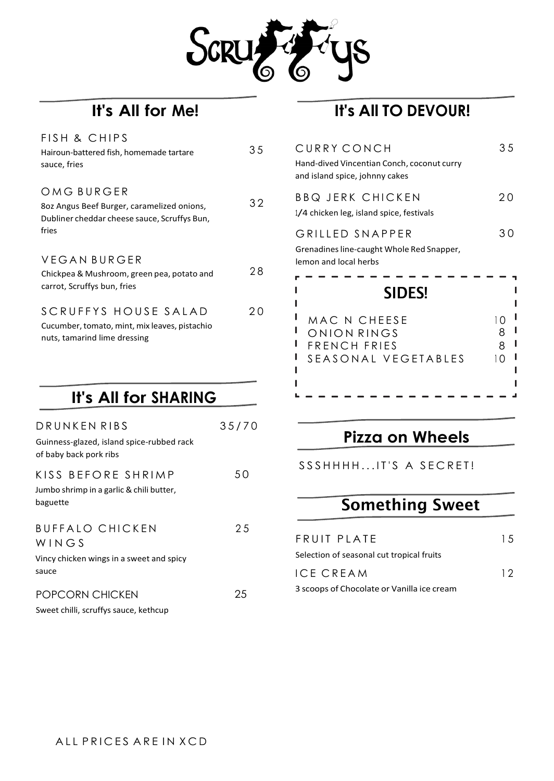

| FISH & CHIPS<br>Hairoun-battered fish, homemade tartare<br>sauce, fries                                           | 35 |
|-------------------------------------------------------------------------------------------------------------------|----|
| OMG BURGER<br>802 Angus Beef Burger, caramelized onions,<br>Dubliner cheddar cheese sauce, Scruffys Bun,<br>fries | 32 |
| VEGAN BURGER<br>Chickpea & Mushroom, green pea, potato and<br>carrot, Scruffys bun, fries                         | 28 |
| SCRUFFYS HOUSE SALAD<br>Cucumber, tomato, mint, mix leaves, pistachio<br>nuts, tamarind lime dressing             |    |

## **It's All for SHARING**

| 35 | CURRY CONCH<br>Hand-dived Vincentian Conch, coconut curry<br>and island spice, johnny cakes | 35                               |
|----|---------------------------------------------------------------------------------------------|----------------------------------|
| 32 | <b>BBQ JERK CHICKEN</b><br>1/4 chicken leg, island spice, festivals                         | 20                               |
| 28 | GRILLED SNAPPER<br>Grenadines line-caught Whole Red Snapper,<br>lemon and local herbs       | 30                               |
|    | <b>SIDES!</b>                                                                               |                                  |
| 20 | MAC N CHEESE<br>ONION RINGS<br>FRENCH FRIES<br>SEASONAL VEGETABLES                          | 1 O<br>8<br>8<br>$\overline{10}$ |
|    |                                                                                             |                                  |

| DRUNKEN RIBS                                                                         | 35/70 |
|--------------------------------------------------------------------------------------|-------|
| Guinness-glazed, island spice-rubbed rack<br>of baby back pork ribs                  |       |
| KISS BEFORE SHRIMP<br>Jumbo shrimp in a garlic & chili butter,<br>baguette           | 50    |
| <b>BUFFALO CHICKEN</b><br>WINGS<br>Vincy chicken wings in a sweet and spicy<br>sauce | 25    |
|                                                                                      |       |

#### POPCORN CHICKEN

Sweet chilli, scruffys sauce, kethcup

#### ALL PRICES ARE IN XCD

25

### **Pizza on Wheels**

SSSHHHH...IT'S A SECRET!

# **Something Sweet**

| FRUIT PLATE                                | 1.5 |
|--------------------------------------------|-----|
| Selection of seasonal cut tropical fruits  |     |
| ICE CREAM                                  | 12  |
| 3 scoops of Chocolate or Vanilla ice cream |     |

# **It's All for Me! It's All TO DEVOUR!**